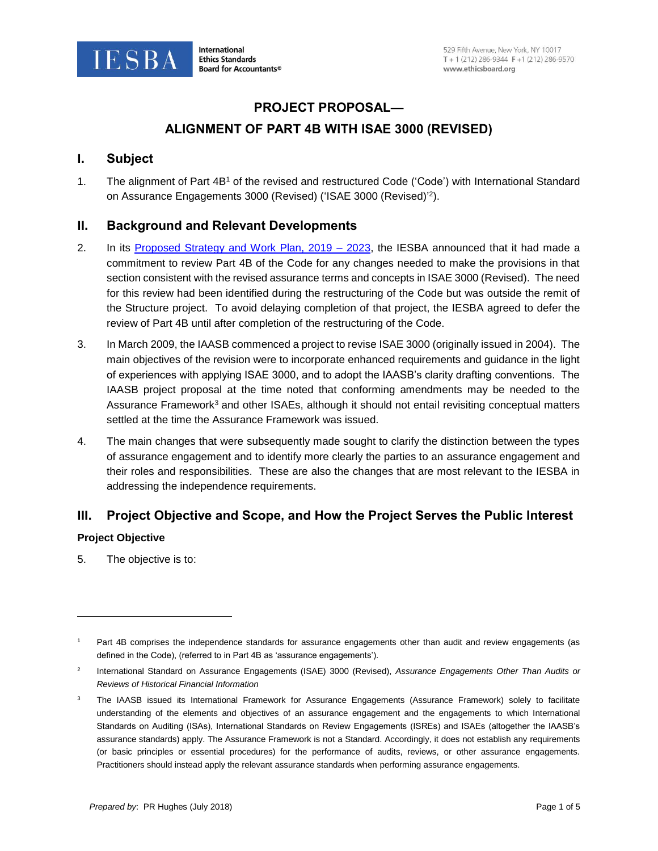

# **PROJECT PROPOSAL—**

# **ALIGNMENT OF PART 4B WITH ISAE 3000 (REVISED)**

### **I. Subject**

1. The alignment of Part 4B<sup>1</sup> of the revised and restructured Code ('Code') with International Standard on Assurance Engagements 3000 (Revised) ('ISAE 3000 (Revised)' 2 ).

### **II. Background and Relevant Developments**

- 2. In its Proposed Strategy and Work Plan, 2019 2023, the IESBA announced that it had made a commitment to review Part 4B of the Code for any changes needed to make the provisions in that section consistent with the revised assurance terms and concepts in ISAE 3000 (Revised). The need for this review had been identified during the restructuring of the Code but was outside the remit of the Structure project. To avoid delaying completion of that project, the IESBA agreed to defer the review of Part 4B until after completion of the restructuring of the Code.
- 3. In March 2009, the IAASB commenced a project to revise ISAE 3000 (originally issued in 2004). The main objectives of the revision were to incorporate enhanced requirements and guidance in the light of experiences with applying ISAE 3000, and to adopt the IAASB's clarity drafting conventions. The IAASB project proposal at the time noted that conforming amendments may be needed to the Assurance Framework<sup>3</sup> and other ISAEs, although it should not entail revisiting conceptual matters settled at the time the Assurance Framework was issued.
- 4. The main changes that were subsequently made sought to clarify the distinction between the types of assurance engagement and to identify more clearly the parties to an assurance engagement and their roles and responsibilities. These are also the changes that are most relevant to the IESBA in addressing the independence requirements.

# **III. Project Objective and Scope, and How the Project Serves the Public Interest**

### **Project Objective**

 $\overline{\phantom{a}}$ 

5. The objective is to:

Part 4B comprises the independence standards for assurance engagements other than audit and review engagements (as defined in the Code), (referred to in Part 4B as 'assurance engagements').

<sup>2</sup> International Standard on Assurance Engagements (ISAE) 3000 (Revised), *Assurance Engagements Other Than Audits or Reviews of Historical Financial Information*

<sup>&</sup>lt;sup>3</sup> The IAASB issued its International Framework for Assurance Engagements (Assurance Framework) solely to facilitate understanding of the elements and objectives of an assurance engagement and the engagements to which International Standards on Auditing (ISAs), International Standards on Review Engagements (ISREs) and ISAEs (altogether the IAASB's assurance standards) apply. The Assurance Framework is not a Standard. Accordingly, it does not establish any requirements (or basic principles or essential procedures) for the performance of audits, reviews, or other assurance engagements. Practitioners should instead apply the relevant assurance standards when performing assurance engagements.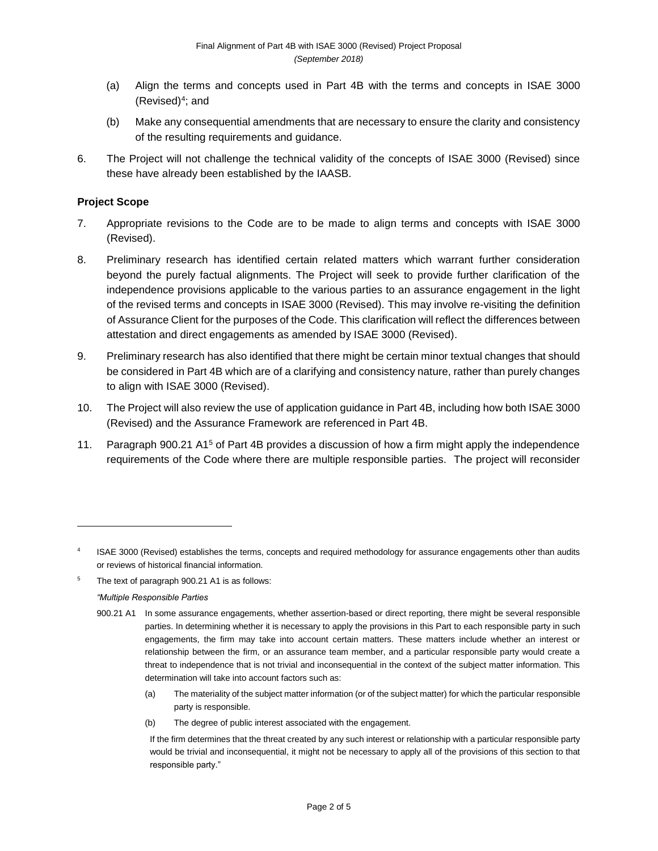- (a) Align the terms and concepts used in Part 4B with the terms and concepts in ISAE 3000 (Revised)<sup>4</sup> ; and
- (b) Make any consequential amendments that are necessary to ensure the clarity and consistency of the resulting requirements and guidance.
- 6. The Project will not challenge the technical validity of the concepts of ISAE 3000 (Revised) since these have already been established by the IAASB.

#### **Project Scope**

- 7. Appropriate revisions to the Code are to be made to align terms and concepts with ISAE 3000 (Revised).
- 8. Preliminary research has identified certain related matters which warrant further consideration beyond the purely factual alignments. The Project will seek to provide further clarification of the independence provisions applicable to the various parties to an assurance engagement in the light of the revised terms and concepts in ISAE 3000 (Revised). This may involve re-visiting the definition of Assurance Client for the purposes of the Code. This clarification will reflect the differences between attestation and direct engagements as amended by ISAE 3000 (Revised).
- 9. Preliminary research has also identified that there might be certain minor textual changes that should be considered in Part 4B which are of a clarifying and consistency nature, rather than purely changes to align with ISAE 3000 (Revised).
- 10. The Project will also review the use of application guidance in Part 4B, including how both ISAE 3000 (Revised) and the Assurance Framework are referenced in Part 4B.
- 11. Paragraph 900.21 A1<sup>5</sup> of Part 4B provides a discussion of how a firm might apply the independence requirements of the Code where there are multiple responsible parties. The project will reconsider

<sup>5</sup> The text of paragraph 900.21 A1 is as follows:

#### *"Multiple Responsible Parties*

 $\overline{\phantom{a}}$ 

- 900.21 A1 In some assurance engagements, whether assertion-based or direct reporting, there might be several responsible parties. In determining whether it is necessary to apply the provisions in this Part to each responsible party in such engagements, the firm may take into account certain matters. These matters include whether an interest or relationship between the firm, or an assurance team member, and a particular responsible party would create a threat to independence that is not trivial and inconsequential in the context of the subject matter information. This determination will take into account factors such as:
	- (a) The materiality of the subject matter information (or of the subject matter) for which the particular responsible party is responsible.
	- (b) The degree of public interest associated with the engagement.

<sup>4</sup> ISAE 3000 (Revised) establishes the terms, concepts and required methodology for assurance engagements other than audits or reviews of historical financial information.

If the firm determines that the threat created by any such interest or relationship with a particular responsible party would be trivial and inconsequential, it might not be necessary to apply all of the provisions of this section to that responsible party."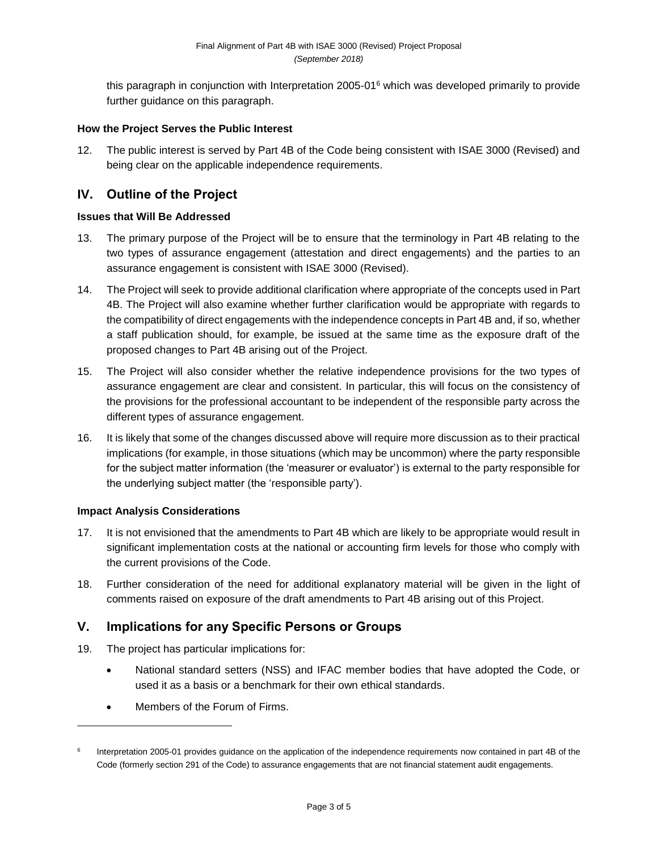this paragraph in conjunction with Interpretation 2005-01<sup>6</sup> which was developed primarily to provide further guidance on this paragraph.

#### **How the Project Serves the Public Interest**

12. The public interest is served by Part 4B of the Code being consistent with ISAE 3000 (Revised) and being clear on the applicable independence requirements.

# **IV. Outline of the Project**

#### **Issues that Will Be Addressed**

- 13. The primary purpose of the Project will be to ensure that the terminology in Part 4B relating to the two types of assurance engagement (attestation and direct engagements) and the parties to an assurance engagement is consistent with ISAE 3000 (Revised).
- 14. The Project will seek to provide additional clarification where appropriate of the concepts used in Part 4B. The Project will also examine whether further clarification would be appropriate with regards to the compatibility of direct engagements with the independence concepts in Part 4B and, if so, whether a staff publication should, for example, be issued at the same time as the exposure draft of the proposed changes to Part 4B arising out of the Project.
- 15. The Project will also consider whether the relative independence provisions for the two types of assurance engagement are clear and consistent. In particular, this will focus on the consistency of the provisions for the professional accountant to be independent of the responsible party across the different types of assurance engagement.
- 16. It is likely that some of the changes discussed above will require more discussion as to their practical implications (for example, in those situations (which may be uncommon) where the party responsible for the subject matter information (the 'measurer or evaluator') is external to the party responsible for the underlying subject matter (the 'responsible party').

### **Impact Analysis Considerations**

- 17. It is not envisioned that the amendments to Part 4B which are likely to be appropriate would result in significant implementation costs at the national or accounting firm levels for those who comply with the current provisions of the Code.
- 18. Further consideration of the need for additional explanatory material will be given in the light of comments raised on exposure of the draft amendments to Part 4B arising out of this Project.

# **V. Implications for any Specific Persons or Groups**

- 19. The project has particular implications for:
	- National standard setters (NSS) and IFAC member bodies that have adopted the Code, or used it as a basis or a benchmark for their own ethical standards.
	- Members of the Forum of Firms.

 $\overline{\phantom{a}}$ 

<sup>6</sup> Interpretation 2005-01 provides guidance on the application of the independence requirements now contained in part 4B of the Code (formerly section 291 of the Code) to assurance engagements that are not financial statement audit engagements.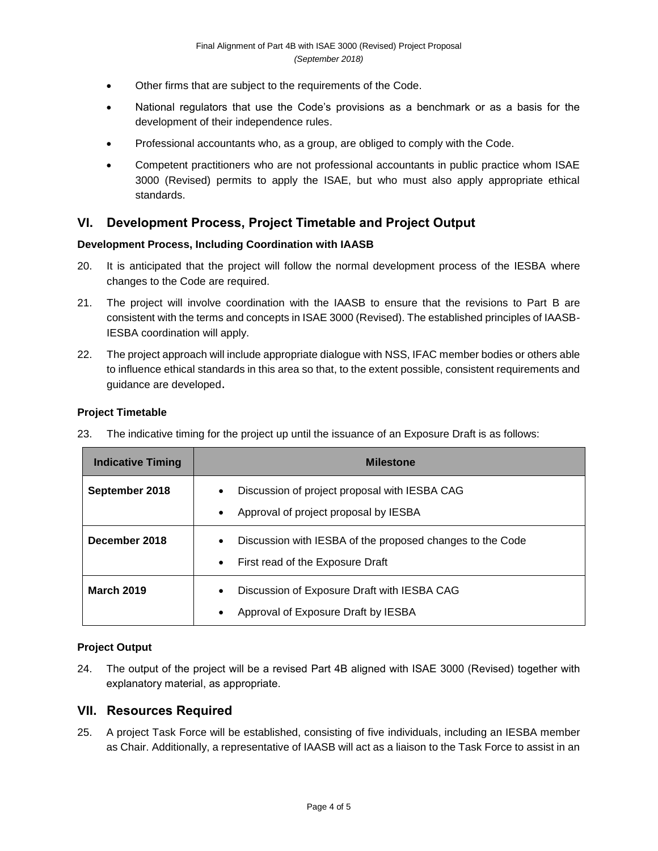- Other firms that are subject to the requirements of the Code.
- National regulators that use the Code's provisions as a benchmark or as a basis for the development of their independence rules.
- Professional accountants who, as a group, are obliged to comply with the Code.
- Competent practitioners who are not professional accountants in public practice whom ISAE 3000 (Revised) permits to apply the ISAE, but who must also apply appropriate ethical standards.

# **VI. Development Process, Project Timetable and Project Output**

#### **Development Process, Including Coordination with IAASB**

- 20. It is anticipated that the project will follow the normal development process of the IESBA where changes to the Code are required.
- 21. The project will involve coordination with the IAASB to ensure that the revisions to Part B are consistent with the terms and concepts in ISAE 3000 (Revised). The established principles of IAASB-IESBA coordination will apply.
- 22. The project approach will include appropriate dialogue with NSS, IFAC member bodies or others able to influence ethical standards in this area so that, to the extent possible, consistent requirements and guidance are developed.

#### **Project Timetable**

23. The indicative timing for the project up until the issuance of an Exposure Draft is as follows:

| <b>Indicative Timing</b> | <b>Milestone</b>                                                                                                        |
|--------------------------|-------------------------------------------------------------------------------------------------------------------------|
| September 2018           | Discussion of project proposal with IESBA CAG<br>$\bullet$<br>Approval of project proposal by IESBA<br>$\bullet$        |
| December 2018            | Discussion with IESBA of the proposed changes to the Code<br>$\bullet$<br>First read of the Exposure Draft<br>$\bullet$ |
| <b>March 2019</b>        | Discussion of Exposure Draft with IESBA CAG<br>$\bullet$<br>Approval of Exposure Draft by IESBA<br>٠                    |

### **Project Output**

24. The output of the project will be a revised Part 4B aligned with ISAE 3000 (Revised) together with explanatory material, as appropriate.

### **VII. Resources Required**

25. A project Task Force will be established, consisting of five individuals, including an IESBA member as Chair. Additionally, a representative of IAASB will act as a liaison to the Task Force to assist in an